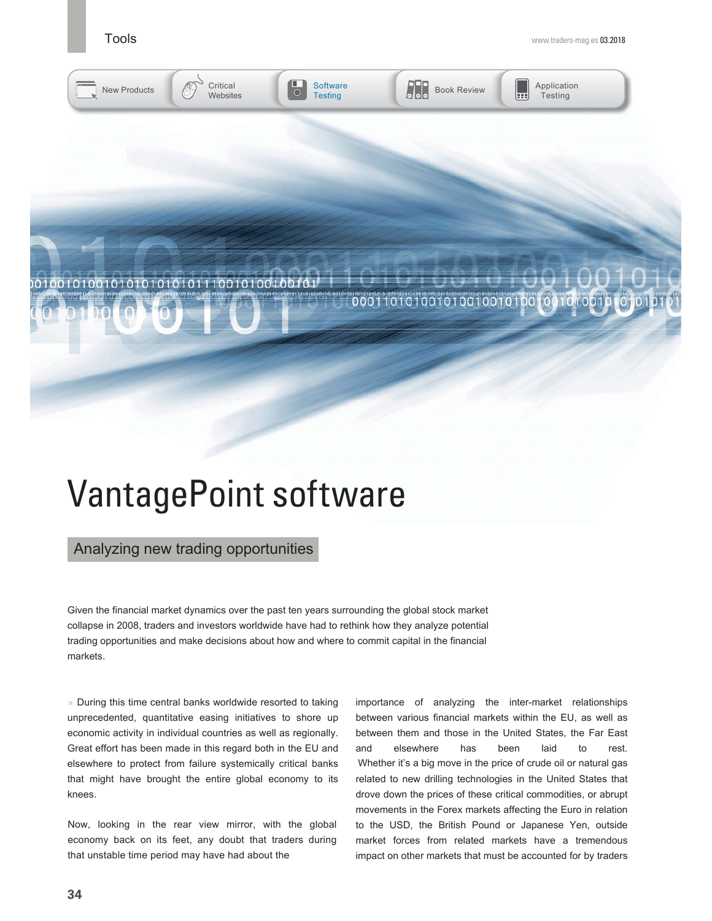**Software**  $\overline{\circ}$ **Testing** 



 $\begin{array}{|c|c|c|}\n\hline\n\text{S} & \text{Book Review} & \text{H} \\
\hline\n\end{array}$ 



New Products Critical

**Websites** 

000110101001010010010100100101001

## VantagePoint software

### Analyzing new trading opportunities

Given the financial market dynamics over the past ten years surrounding the global stock market collapse in 2008, traders and investors worldwide have had to rethink how they analyze potential trading opportunities and make decisions about how and where to commit capital in the financial markets.

» During this time central banks worldwide resorted to taking unprecedented, quantitative easing initiatives to shore up economic activity in individual countries as well as regionally. Great effort has been made in this regard both in the EU and elsewhere to protect from failure systemically critical banks that might have brought the entire global economy to its knees.

Now, looking in the rear view mirror, with the global economy back on its feet, any doubt that traders during that unstable time period may have had about the

importance of analyzing the inter-market relationships between various financial markets within the EU, as well as between them and those in the United States, the Far East and elsewhere has been laid to rest. Whether it's a big move in the price of crude oil or natural gas related to new drilling technologies in the United States that drove down the prices of these critical commodities, or abrupt movements in the Forex markets affecting the Euro in relation to the USD, the British Pound or Japanese Yen, outside market forces from related markets have a tremendous impact on other markets that must be accounted for by traders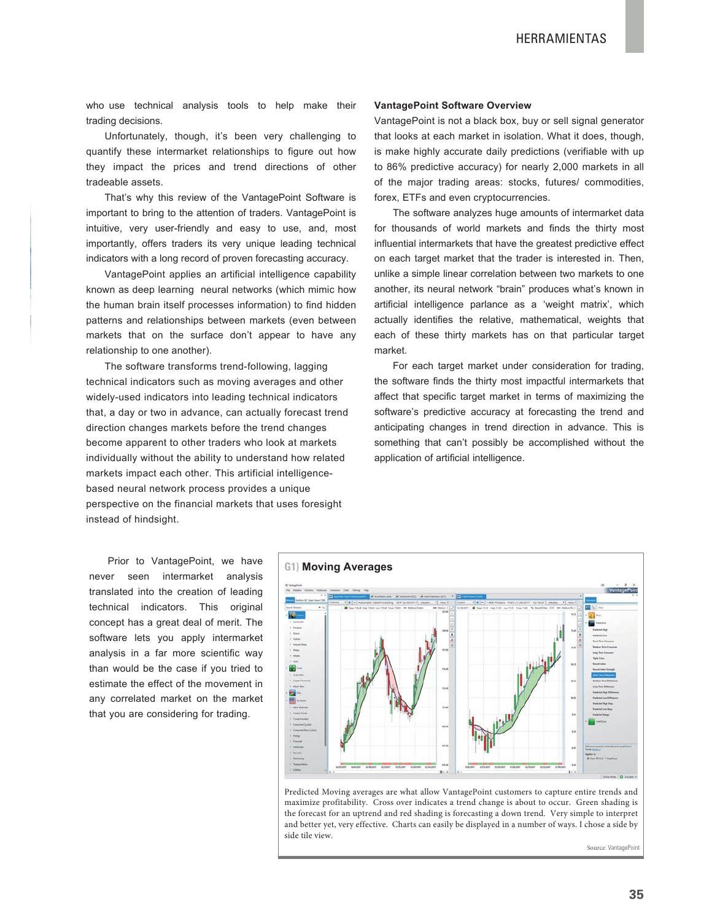who use technical analysis tools to help make their trading decisions.

Unfortunately, though, it's been very challenging to quantify these intermarket relationships to figure out how they impact the prices and trend directions of other tradeable assets.

That's why this review of the VantagePoint Software is important to bring to the attention of traders. VantagePoint is intuitive, very user-friendly and easy to use, and, most importantly, offers traders its very unique leading technical indicators with a long record of proven forecasting accuracy.

VantagePoint applies an artificial intelligence capability known as deep learning neural networks (which mimic how the human brain itself processes information) to find hidden patterns and relationships between markets (even between markets that on the surface don't appear to have any relationship to one another).

The software transforms trend-following, lagging technical indicators such as moving averages and other widely-used indicators into leading technical indicators that, a day or two in advance, can actually forecast trend direction changes markets before the trend changes become apparent to other traders who look at markets individually without the ability to understand how related markets impact each other. This artificial intelligencebased neural network process provides a unique perspective on the financial markets that uses foresight instead of hindsight.

#### **VantagePoint Software Overview**

VantagePoint is not a black box, buy or sell signal generator that looks at each market in isolation. What it does, though, is make highly accurate daily predictions (verifiable with up to 86% predictive accuracy) for nearly 2,000 markets in all of the major trading areas: stocks, futures/ commodities, forex, ETFs and even cryptocurrencies.

The software analyzes huge amounts of intermarket data for thousands of world markets and finds the thirty most influential intermarkets that have the greatest predictive effect on each target market that the trader is interested in. Then, unlike a simple linear correlation between two markets to one another, its neural network "brain" produces what's known in artificial intelligence parlance as a 'weight matrix', which actually identifies the relative, mathematical, weights that each of these thirty markets has on that particular target market.

For each target market under consideration for trading, the software finds the thirty most impactful intermarkets that affect that specific target market in terms of maximizing the software's predictive accuracy at forecasting the trend and anticipating changes in trend direction in advance. This is something that can't possibly be accomplished without the application of artificial intelligence.

Prior to VantagePoint, we have never seen intermarket analysis translated into the creation of leading technical indicators. This original concept has a great deal of merit. The software lets you apply intermarket analysis in a far more scientific way than would be the case if you tried to estimate the effect of the movement in any correlated market on the market that you are considering for trading.



Predicted Moving averages are what allow VantagePoint customers to capture entire trends and maximize profitability. Cross over indicates a trend change is about to occur. Green shading is the forecast for an uptrend and red shading is forecasting a down trend. Very simple to interpret and better yet, very effective. Charts can easily be displayed in a number of ways. I chose a side by side tile view.

Source: VantagePoin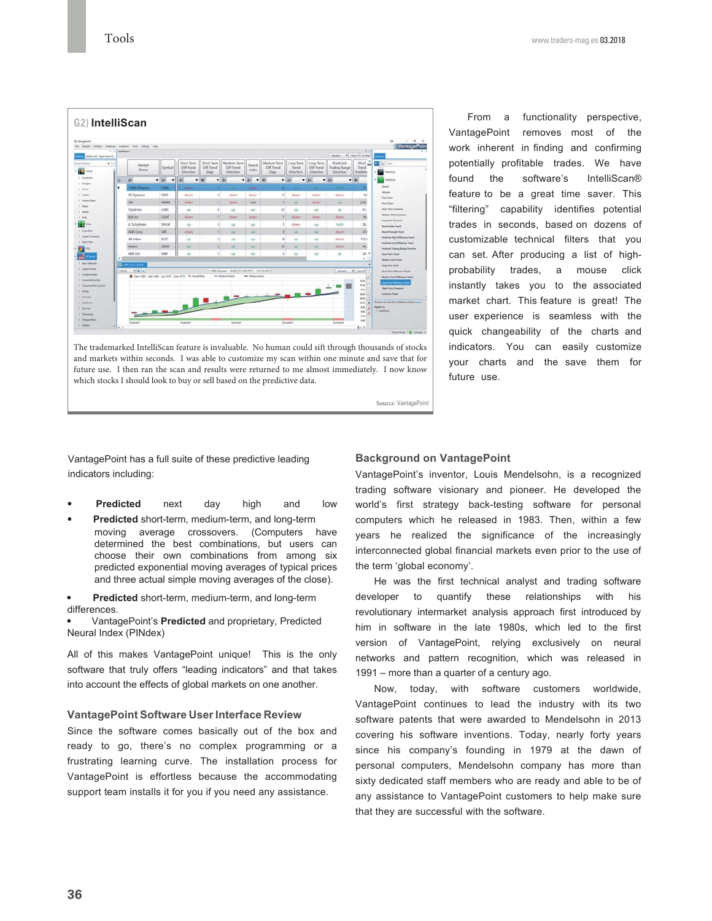## **G2) IntelliScan** io.  $384$ **MARK** hill inc ton **AAR Corp.** AR. 1111

The trademarked IntelliScan feature is invaluable. No human could sift through thousands of stocks and markets within seconds. I was able to customize my scan within one minute and save that for future use. I then ran the scan and results were returned to me almost immediately. I now know which stocks I should look to buy or sell based on the predictive data.

From a functionality perspective, VantagePoint removes most of the work inherent in finding and confirming potentially profitable trades. We have found the software's IntelliScan® feature to be a great time saver. This "filtering" capability identifies potential trades in seconds, based on dozens of customizable technical filters that you can set. After producing a list of highprobability trades, a mouse click instantly takes you to the associated market chart. This feature is great! The user experience is seamless with the quick changeability of the charts and indicators. You can easily customize your charts and the save them for future use.

VantagePoint has a full suite of these predictive leading indicators including:

- **Predicted** next day high and low
- Predicted short-term, medium-term, and long-term moving average crossovers. (Computers have determined the best combinations, but users can choose their own combinations from among six predicted exponential moving averages of typical prices and three actual simple moving averages of the close).
- Predicted short-term, medium-term, and long-term differences.

VantagePoint's Predicted and proprietary, Predicted Neural Index (PINdex)

All of this makes VantagePoint unique! This is the only software that truly offers "leading indicators" and that takes into account the effects of global markets on one another.

#### **VantagePoint Software User Interface Review**

Since the software comes basically out of the box and ready to go, there's no complex programming or a frustrating learning curve. The installation process for VantagePoint is effortless because the accommodating support team installs it for you if you need any assistance.

#### **Background on VantagePoint**

Source: VantagePoint

VantagePoint's inventor, Louis Mendelsohn, is a recognized trading software visionary and pioneer. He developed the world's first strategy back-testing software for personal computers which he released in 1983. Then, within a few years he realized the significance of the increasingly interconnected global financial markets even prior to the use of the term 'global economy'.

He was the first technical analyst and trading software developer to quantify these relationships with his revolutionary intermarket analysis approach first introduced by him in software in the late 1980s, which led to the first version of VantagePoint, relying exclusively on neural networks and pattern recognition, which was released in 1991 – more than a quarter of a century ago.

Now, today, with software customers worldwide, VantagePoint continues to lead the industry with its two software patents that were awarded to Mendelsohn in 2013 covering his software inventions. Today, nearly forty years since his company's founding in 1979 at the dawn of personal computers, Mendelsohn company has more than sixty dedicated staff members who are ready and able to be of any assistance to VantagePoint customers to help make sure that they are successful with the software.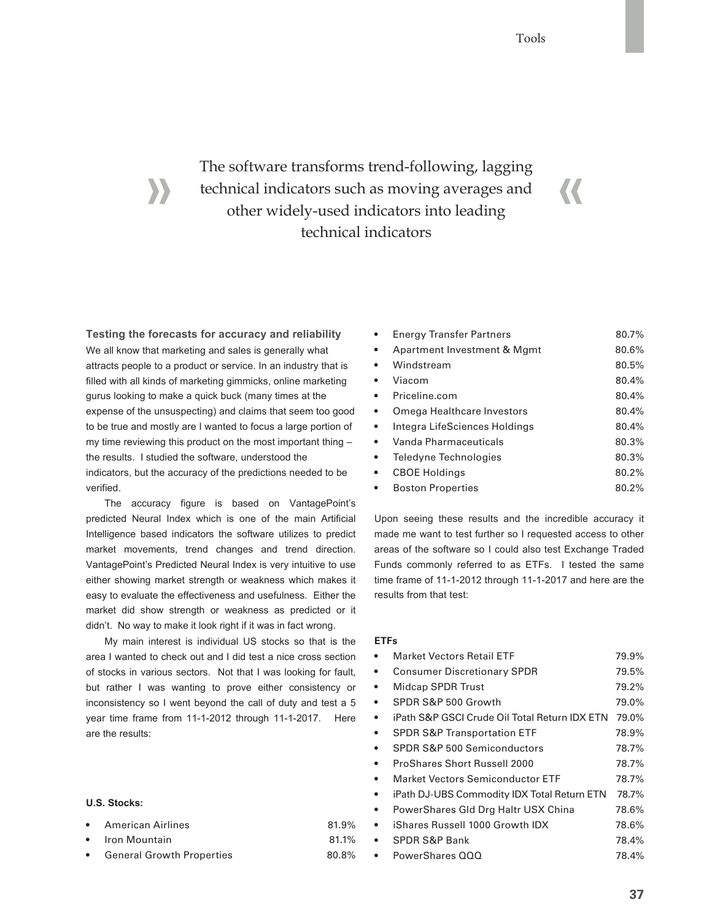$\overline{\mathcal{U}}$ 

## The software transforms trend-following, lagging technical indicators such as moving averages and other widely-used indicators into leading technical indicators

**Testing the forecasts for accuracy and reliability** We all know that marketing and sales is generally what attracts people to a product or service. In an industry that is filled with all kinds of marketing gimmicks, online marketing gurus looking to make a quick buck (many times at the expense of the unsuspecting) and claims that seem too good to be true and mostly are I wanted to focus a large portion of my time reviewing this product on the most important thing – the results. I studied the software, understood the indicators, but the accuracy of the predictions needed to be verified.

The accuracy figure is based on VantagePoint's predicted Neural Index which is one of the main Artificial Intelligence based indicators the software utilizes to predict market movements, trend changes and trend direction. VantagePoint's Predicted Neural Index is very intuitive to use either showing market strength or weakness which makes it easy to evaluate the effectiveness and usefulness. Either the market did show strength or weakness as predicted or it didn't. No way to make it look right if it was in fact wrong.

My main interest is individual US stocks so that is the area I wanted to check out and I did test a nice cross section of stocks in various sectors. Not that I was looking for fault, but rather I was wanting to prove either consistency or inconsistency so I went beyond the call of duty and test a 5 year time frame from 11-1-2012 through 11-1-2017. Here are the results:

#### **U.S. Stocks:**

- American Airlines 199%
- så 11% i 17% i 17% i 17% i 17% av 17% i 17% i 17% i 17% i 17% i 17% i 17% i 17% i 17% i 17% i 17% i 17% i 17%
- General Growth Properties and the 80.8%

| $\bullet$ | <b>Energy Transfer Partners</b> | 80.7% |
|-----------|---------------------------------|-------|
| $\bullet$ | Apartment Investment & Mgmt     | 80.6% |
| $\bullet$ | Windstream                      | 80.5% |
| $\bullet$ | Viacom                          | 80.4% |
| $\bullet$ | Priceline.com                   | 80.4% |
| $\bullet$ | Omega Healthcare Investors      | 80.4% |
| $\bullet$ | Integra LifeSciences Holdings   | 80.4% |
| $\bullet$ | Vanda Pharmaceuticals           | 80.3% |
| $\bullet$ | Teledyne Technologies           | 80.3% |
| $\bullet$ | <b>CBOE Holdings</b>            | 80.2% |
| $\bullet$ | <b>Boston Properties</b>        | 80.2% |

Upon seeing these results and the incredible accuracy it made me want to test further so I requested access to other areas of the software so I could also test Exchange Traded Funds commonly referred to as ETFs. I tested the same time frame of 11-1-2012 through 11-1-2017 and here are the results from that test:

#### **ETFs**

| ٠         | <b>Market Vectors Retail ETF</b>              | 79.9% |
|-----------|-----------------------------------------------|-------|
| $\bullet$ | <b>Consumer Discretionary SPDR</b>            | 79.5% |
| $\bullet$ | <b>Midcap SPDR Trust</b>                      | 79.2% |
| $\bullet$ | SPDR S&P 500 Growth                           | 79.0% |
| $\bullet$ | iPath S&P GSCI Crude Oil Total Return IDX ETN | 79.0% |
|           | <b>SPDR S&amp;P Transportation ETF</b>        | 78.9% |
|           | SPDR S&P 500 Semiconductors                   | 78.7% |
|           | ProShares Short Russell 2000                  | 78.7% |
|           | <b>Market Vectors Semiconductor ETF</b>       | 78.7% |
| $\bullet$ | iPath DJ-UBS Commodity IDX Total Return ETN   | 78.7% |
|           | PowerShares Gld Drg Haltr USX China           | 78.6% |
| $\bullet$ | iShares Russell 1000 Growth IDX               | 78.6% |
|           | <b>SPDR S&amp;P Bank</b>                      | 78.4% |
| $\bullet$ | PowerShares QQQ                               | 78.4% |